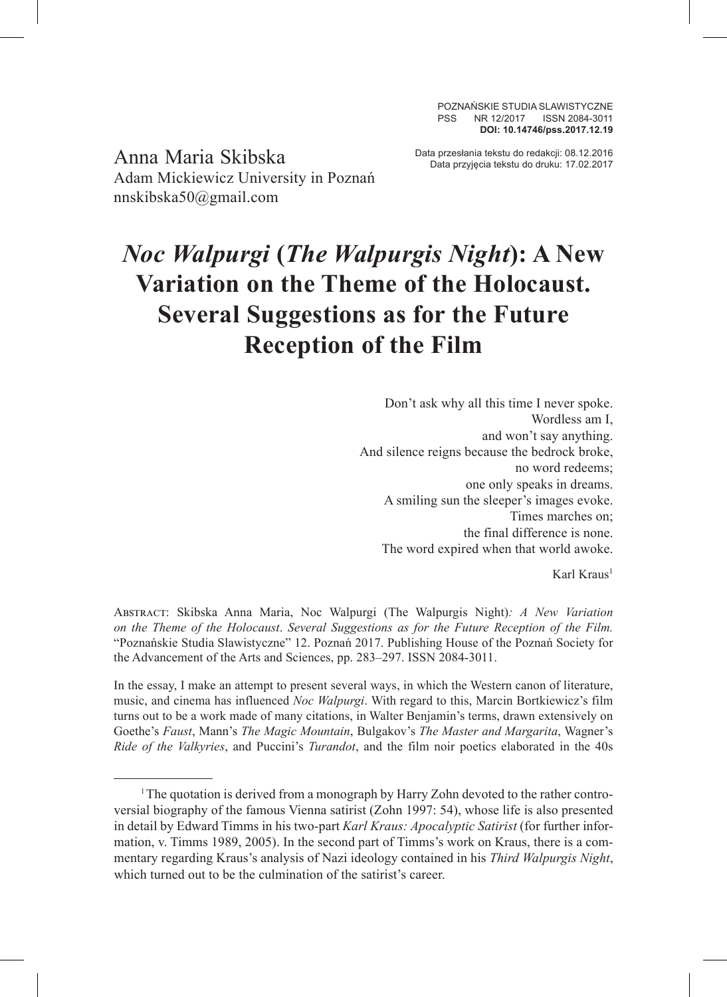POZNAŃSKIE STUDIA SLAWISTYCZNE PSS NR 12/2017 ISSN 2084-3011 **DOI: 10.14746/pss.2017.12.19**

Data przesłania tekstu do redakcji: 08.12.2016 Anna Maria Skibska Data przyjęcia tekstu do druku: 17.02.2017 Adam Mickiewicz University in Poznań nnskibska50@gmail.com

# *Noc Walpurgi* **(***The Walpurgis Night***): A New Variation on the Theme of the Holocaust. Several Suggestions as for the Future Reception of the Film**

Don't ask why all this time I never spoke. Wordless am I, and won't say anything. And silence reigns because the bedrock broke, no word redeems; one only speaks in dreams. A smiling sun the sleeper's images evoke. Times marches on; the final difference is none. The word expired when that world awoke.

Karl Kraus<sup>1</sup>

Abstract: Skibska Anna Maria, Noc Walpurgi (The Walpurgis Night)*: A New Variation on the Theme of the Holocaust*. *Several Suggestions as for the Future Reception of the Film.* "Poznańskie Studia Slawistyczne" 12. Poznań 2017. Publishing House of the Poznań Society for the Advancement of the Arts and Sciences, pp. 283–297. ISSN 2084-3011.

In the essay, I make an attempt to present several ways, in which the Western canon of literature, music, and cinema has influenced *Noc Walpurgi*. With regard to this, Marcin Bortkiewicz's film turns out to be a work made of many citations, in Walter Benjamin's terms, drawn extensively on Goethe's *Faust*, Mann's *The Magic Mountain*, Bulgakov's *The Master and Margarita*, Wagner's *Ride of the Valkyries*, and Puccini's *Turandot*, and the film noir poetics elaborated in the 40s

<sup>1</sup>The quotation is derived from a monograph by Harry Zohn devoted to the rather controversial biography of the famous Vienna satirist (Zohn 1997: 54), whose life is also presented in detail by Edward Timms in his two-part *Karl Kraus: Apocalyptic Satirist* (for further information, v. Timms 1989, 2005). In the second part of Timms's work on Kraus, there is a commentary regarding Kraus's analysis of Nazi ideology contained in his *Third Walpurgis Night*, which turned out to be the culmination of the satirist's career.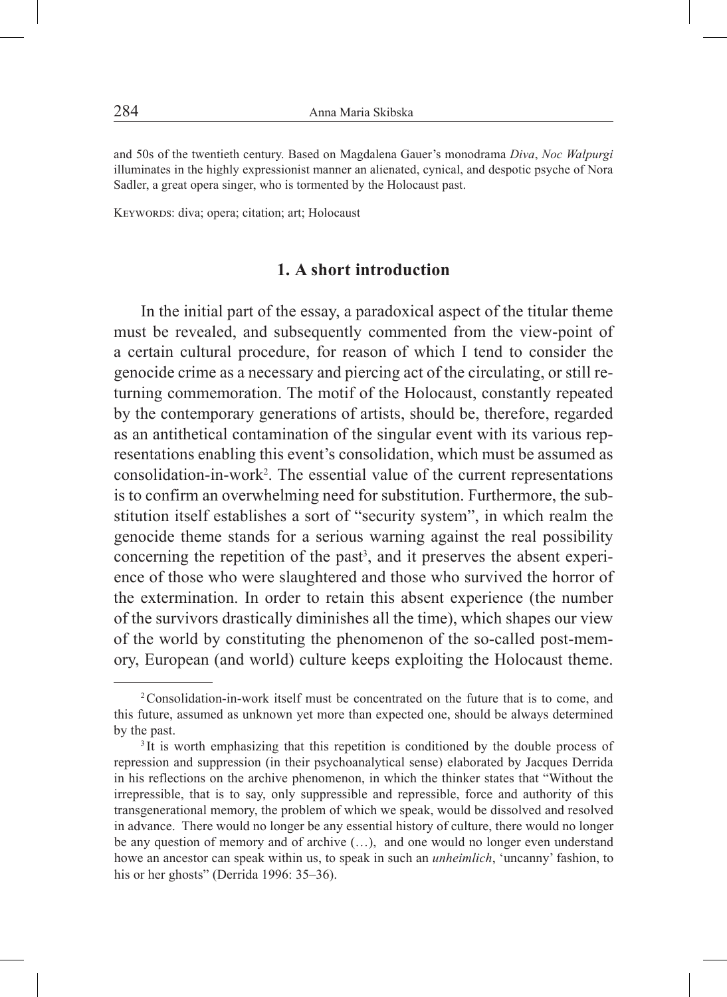and 50s of the twentieth century. Based on Magdalena Gauer's monodrama *Diva*, *Noc Walpurgi* illuminates in the highly expressionist manner an alienated, cynical, and despotic psyche of Nora Sadler, a great opera singer, who is tormented by the Holocaust past.

Keywords: diva; opera; citation; art; Holocaust

## **1. A short introduction**

In the initial part of the essay, a paradoxical aspect of the titular theme must be revealed, and subsequently commented from the view-point of a certain cultural procedure, for reason of which I tend to consider the genocide crime as a necessary and piercing act of the circulating, or still returning commemoration. The motif of the Holocaust, constantly repeated by the contemporary generations of artists, should be, therefore, regarded as an antithetical contamination of the singular event with its various representations enabling this event's consolidation, which must be assumed as consolidation-in-work<sup>2</sup>. The essential value of the current representations is to confirm an overwhelming need for substitution. Furthermore, the substitution itself establishes a sort of "security system", in which realm the genocide theme stands for a serious warning against the real possibility concerning the repetition of the past<sup>3</sup>, and it preserves the absent experience of those who were slaughtered and those who survived the horror of the extermination. In order to retain this absent experience (the number of the survivors drastically diminishes all the time), which shapes our view of the world by constituting the phenomenon of the so-called post-memory, European (and world) culture keeps exploiting the Holocaust theme.

<sup>2</sup>Consolidation-in-work itself must be concentrated on the future that is to come, and this future, assumed as unknown yet more than expected one, should be always determined by the past.

<sup>&</sup>lt;sup>3</sup>It is worth emphasizing that this repetition is conditioned by the double process of repression and suppression (in their psychoanalytical sense) elaborated by Jacques Derrida in his reflections on the archive phenomenon, in which the thinker states that "Without the irrepressible, that is to say, only suppressible and repressible, force and authority of this transgenerational memory, the problem of which we speak, would be dissolved and resolved in advance. There would no longer be any essential history of culture, there would no longer be any question of memory and of archive (…), and one would no longer even understand howe an ancestor can speak within us, to speak in such an *unheimlich*, 'uncanny' fashion, to his or her ghosts" (Derrida 1996: 35–36).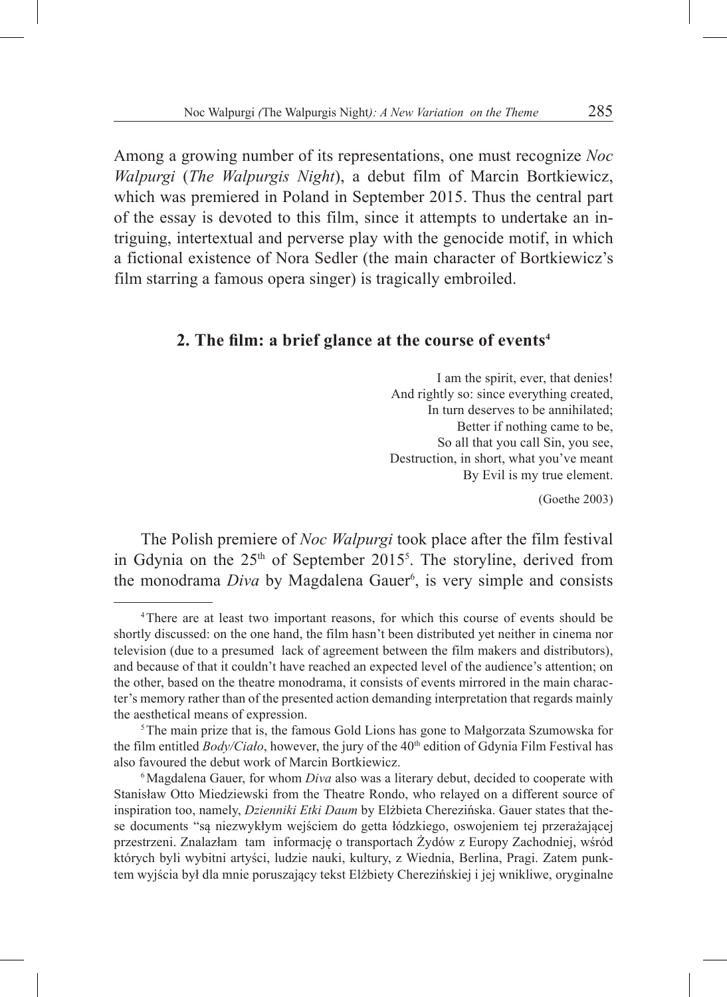Among a growing number of its representations, one must recognize *Noc Walpurgi* (*The Walpurgis Night*), a debut film of Marcin Bortkiewicz, which was premiered in Poland in September 2015. Thus the central part of the essay is devoted to this film, since it attempts to undertake an intriguing, intertextual and perverse play with the genocide motif, in which a fictional existence of Nora Sedler (the main character of Bortkiewicz's film starring a famous opera singer) is tragically embroiled.

### **2. The film: a brief glance at the course of events4**

I am the spirit, ever, that denies! And rightly so: since everything created, In turn deserves to be annihilated; Better if nothing came to be, So all that you call Sin, you see, Destruction, in short, what you've meant By Evil is my true element.

(Goethe 2003)

The Polish premiere of *Noc Walpurgi* took place after the film festival in Gdynia on the 25<sup>th</sup> of September 2015<sup>5</sup>. The storyline, derived from the monodrama *Diva* by Magdalena Gauer<sup>6</sup>, is very simple and consists

<sup>4</sup>There are at least two important reasons, for which this course of events should be shortly discussed: on the one hand, the film hasn't been distributed yet neither in cinema nor television (due to a presumed lack of agreement between the film makers and distributors), and because of that it couldn't have reached an expected level of the audience's attention; on the other, based on the theatre monodrama, it consists of events mirrored in the main character's memory rather than of the presented action demanding interpretation that regards mainly the aesthetical means of expression.<br><sup>5</sup>The main prize that is, the famous Gold Lions has gone to Małgorzata Szumowska for

the film entitled *Body/Ciało*, however, the jury of the 40<sup>th</sup> edition of Gdynia Film Festival has also favoured the debut work of Marcin Bortkiewicz.

<sup>&</sup>lt;sup>6</sup>Magdalena Gauer, for whom *Diva* also was a literary debut, decided to cooperate with Stanisław Otto Miedziewski from the Theatre Rondo, who relayed on a different source of inspiration too, namely, *Dzienniki Etki Daum* by Elżbieta Cherezińska. Gauer states that these documents "są niezwykłym wejściem do getta łódzkiego, oswojeniem tej przerażającej przestrzeni. Znalazłam tam informację o transportach Żydów z Europy Zachodniej, wśród których byli wybitni artyści, ludzie nauki, kultury, z Wiednia, Berlina, Pragi. Zatem punktem wyjścia był dla mnie poruszający tekst Elżbiety Cherezińskiej i jej wnikliwe, oryginalne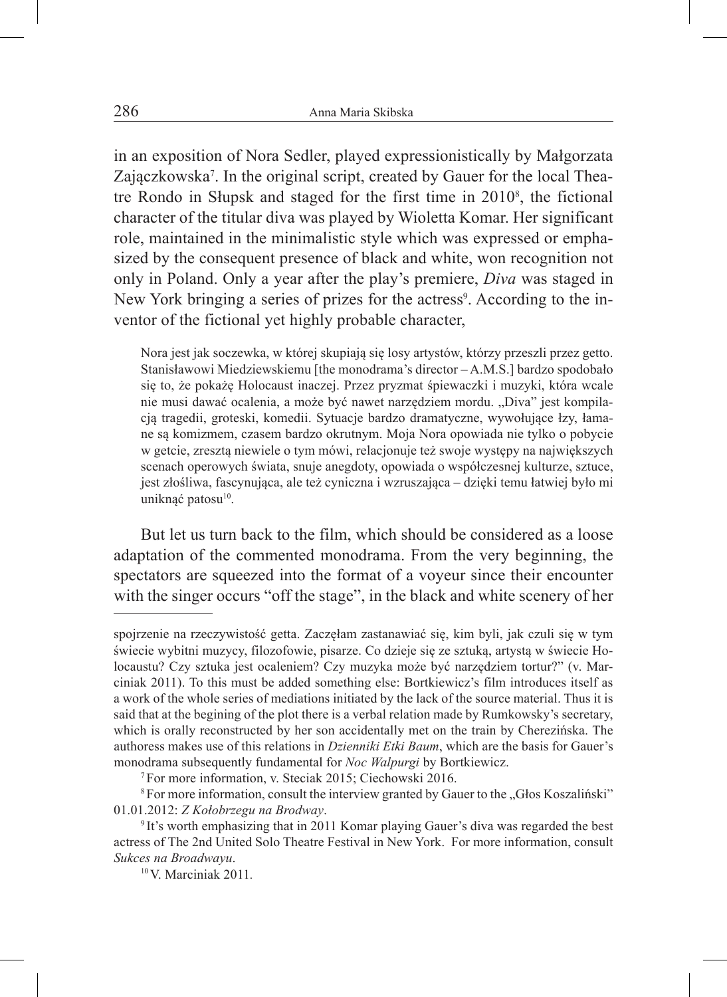in an exposition of Nora Sedler, played expressionistically by Małgorzata Zajączkowska<sup>7</sup>. In the original script, created by Gauer for the local Theatre Rondo in Słupsk and staged for the first time in 2010<sup>8</sup>, the fictional character of the titular diva was played by Wioletta Komar. Her significant role, maintained in the minimalistic style which was expressed or emphasized by the consequent presence of black and white, won recognition not only in Poland. Only a year after the play's premiere, *Diva* was staged in New York bringing a series of prizes for the actress<sup>9</sup>. According to the inventor of the fictional yet highly probable character,

Nora jest jak soczewka, w której skupiają się losy artystów, którzy przeszli przez getto. Stanisławowi Miedziewskiemu [the monodrama's director – A.M.S.] bardzo spodobało się to, że pokażę Holocaust inaczej. Przez pryzmat śpiewaczki i muzyki, która wcale nie musi dawać ocalenia, a może być nawet narzędziem mordu. "Diva" jest kompilacją tragedii, groteski, komedii. Sytuacje bardzo dramatyczne, wywołujące łzy, łamane są komizmem, czasem bardzo okrutnym. Moja Nora opowiada nie tylko o pobycie w getcie, zresztą niewiele o tym mówi, relacjonuje też swoje występy na największych scenach operowych świata, snuje anegdoty, opowiada o współczesnej kulturze, sztuce, jest złośliwa, fascynująca, ale też cyniczna i wzruszająca – dzięki temu łatwiej było mi uniknąć patosu<sup>10</sup>.

But let us turn back to the film, which should be considered as a loose adaptation of the commented monodrama. From the very beginning, the spectators are squeezed into the format of a voyeur since their encounter with the singer occurs "off the stage", in the black and white scenery of her

spojrzenie na rzeczywistość getta. Zaczęłam zastanawiać się, kim byli, jak czuli się w tym świecie wybitni muzycy, filozofowie, pisarze. Co dzieje się ze sztuką, artystą w świecie Holocaustu? Czy sztuka jest ocaleniem? Czy muzyka może być narzędziem tortur?" (v. Marciniak 2011). To this must be added something else: Bortkiewicz's film introduces itself as a work of the whole series of mediations initiated by the lack of the source material. Thus it is said that at the begining of the plot there is a verbal relation made by Rumkowsky's secretary, which is orally reconstructed by her son accidentally met on the train by Cherezińska. The authoress makes use of this relations in *Dzienniki Etki Baum*, which are the basis for Gauer's monodrama subsequently fundamental for *Noc Walpurgi* by Bortkiewicz. 7For more information, v. Steciak 2015; Ciechowski 2016.

<sup>&</sup>lt;sup>8</sup> For more information, consult the interview granted by Gauer to the "Głos Koszaliński" 01.01.2012: *Z Kołobrzegu na Brodway*.

<sup>9</sup> It's worth emphasizing that in 2011 Komar playing Gauer's diva was regarded the best actress of The 2nd United Solo Theatre Festival in New York. For more information, consult *Sukces na Broadwayu*.

<sup>10</sup>V. Marciniak 2011*.*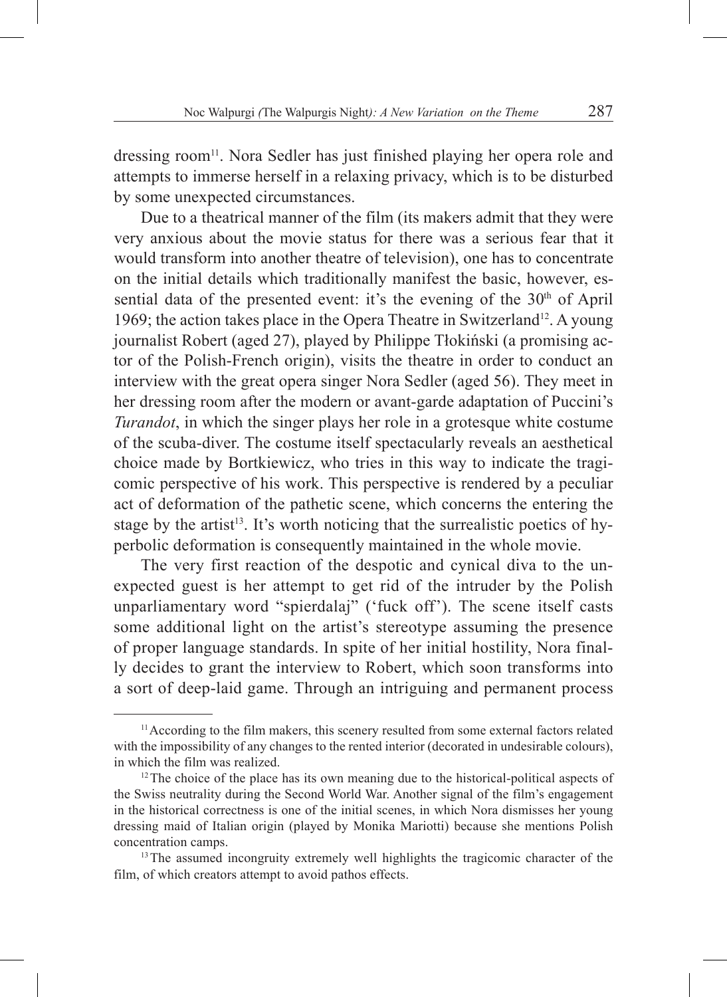dressing room<sup>11</sup>. Nora Sedler has just finished playing her opera role and attempts to immerse herself in a relaxing privacy, which is to be disturbed by some unexpected circumstances.

Due to a theatrical manner of the film (its makers admit that they were very anxious about the movie status for there was a serious fear that it would transform into another theatre of television), one has to concentrate on the initial details which traditionally manifest the basic, however, essential data of the presented event: it's the evening of the  $30<sup>th</sup>$  of April 1969; the action takes place in the Opera Theatre in Switzerland<sup>12</sup>. A young journalist Robert (aged 27), played by Philippe Tłokiński (a promising actor of the Polish-French origin), visits the theatre in order to conduct an interview with the great opera singer Nora Sedler (aged 56). They meet in her dressing room after the modern or avant-garde adaptation of Puccini's *Turandot*, in which the singer plays her role in a grotesque white costume of the scuba-diver. The costume itself spectacularly reveals an aesthetical choice made by Bortkiewicz, who tries in this way to indicate the tragicomic perspective of his work. This perspective is rendered by a peculiar act of deformation of the pathetic scene, which concerns the entering the stage by the artist<sup>13</sup>. It's worth noticing that the surrealistic poetics of hyperbolic deformation is consequently maintained in the whole movie.

The very first reaction of the despotic and cynical diva to the unexpected guest is her attempt to get rid of the intruder by the Polish unparliamentary word "spierdalaj" ('fuck off'). The scene itself casts some additional light on the artist's stereotype assuming the presence of proper language standards. In spite of her initial hostility, Nora finally decides to grant the interview to Robert, which soon transforms into a sort of deep-laid game. Through an intriguing and permanent process

<sup>&</sup>lt;sup>11</sup> According to the film makers, this scenery resulted from some external factors related with the impossibility of any changes to the rented interior (decorated in undesirable colours), in which the film was realized.

 $12$ <sup>12</sup>The choice of the place has its own meaning due to the historical-political aspects of the Swiss neutrality during the Second World War. Another signal of the film's engagement in the historical correctness is one of the initial scenes, in which Nora dismisses her young dressing maid of Italian origin (played by Monika Mariotti) because she mentions Polish concentration camps.

<sup>&</sup>lt;sup>13</sup>The assumed incongruity extremely well highlights the tragicomic character of the film, of which creators attempt to avoid pathos effects.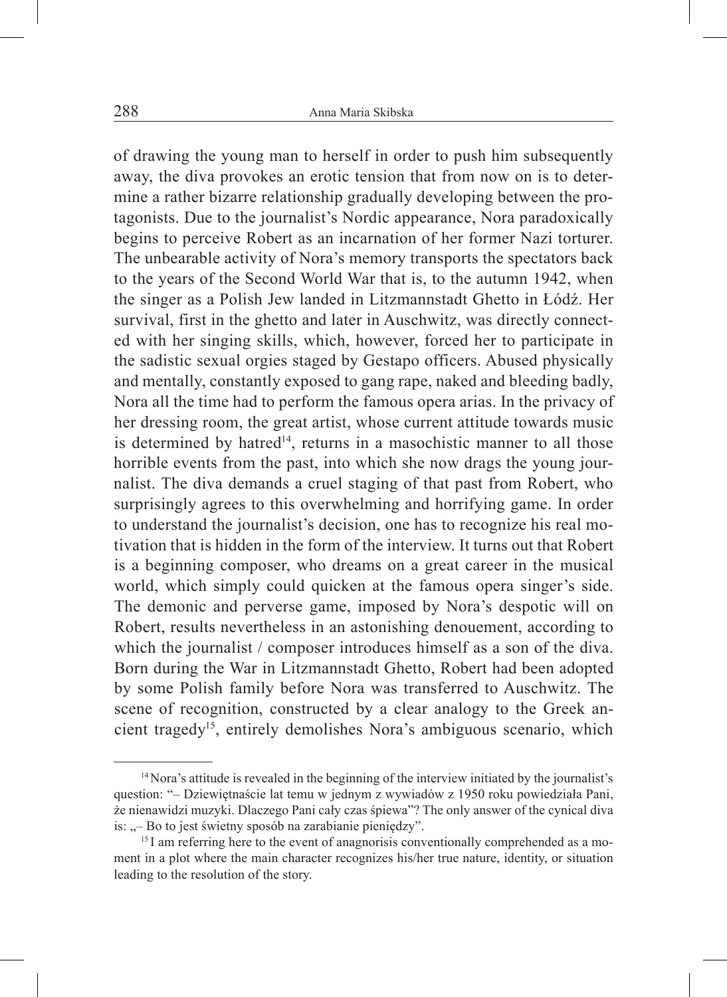of drawing the young man to herself in order to push him subsequently away, the diva provokes an erotic tension that from now on is to determine a rather bizarre relationship gradually developing between the protagonists. Due to the journalist's Nordic appearance, Nora paradoxically begins to perceive Robert as an incarnation of her former Nazi torturer. The unbearable activity of Nora's memory transports the spectators back to the years of the Second World War that is, to the autumn 1942, when the singer as a Polish Jew landed in Litzmannstadt Ghetto in Łódź. Her survival, first in the ghetto and later in Auschwitz, was directly connected with her singing skills, which, however, forced her to participate in the sadistic sexual orgies staged by Gestapo officers. Abused physically and mentally, constantly exposed to gang rape, naked and bleeding badly, Nora all the time had to perform the famous opera arias. In the privacy of her dressing room, the great artist, whose current attitude towards music is determined by hatred<sup>14</sup>, returns in a masochistic manner to all those horrible events from the past, into which she now drags the young journalist. The diva demands a cruel staging of that past from Robert, who surprisingly agrees to this overwhelming and horrifying game. In order to understand the journalist's decision, one has to recognize his real motivation that is hidden in the form of the interview. It turns out that Robert is a beginning composer, who dreams on a great career in the musical world, which simply could quicken at the famous opera singer's side. The demonic and perverse game, imposed by Nora's despotic will on Robert, results nevertheless in an astonishing denouement, according to which the journalist / composer introduces himself as a son of the diva. Born during the War in Litzmannstadt Ghetto, Robert had been adopted by some Polish family before Nora was transferred to Auschwitz. The scene of recognition, constructed by a clear analogy to the Greek ancient tragedy15, entirely demolishes Nora's ambiguous scenario, which

<sup>&</sup>lt;sup>14</sup> Nora's attitude is revealed in the beginning of the interview initiated by the journalist's question: "– Dziewiętnaście lat temu w jednym z wywiadów z 1950 roku powiedziała Pani, że nienawidzi muzyki. Dlaczego Pani cały czas śpiewa"? The only answer of the cynical diva is: "– Bo to jest świetny sposób na zarabianie pieniędzy".

<sup>&</sup>lt;sup>15</sup> I am referring here to the event of anagnorisis conventionally comprehended as a moment in a plot where the main character recognizes his/her true nature, identity, or situation leading to the resolution of the story.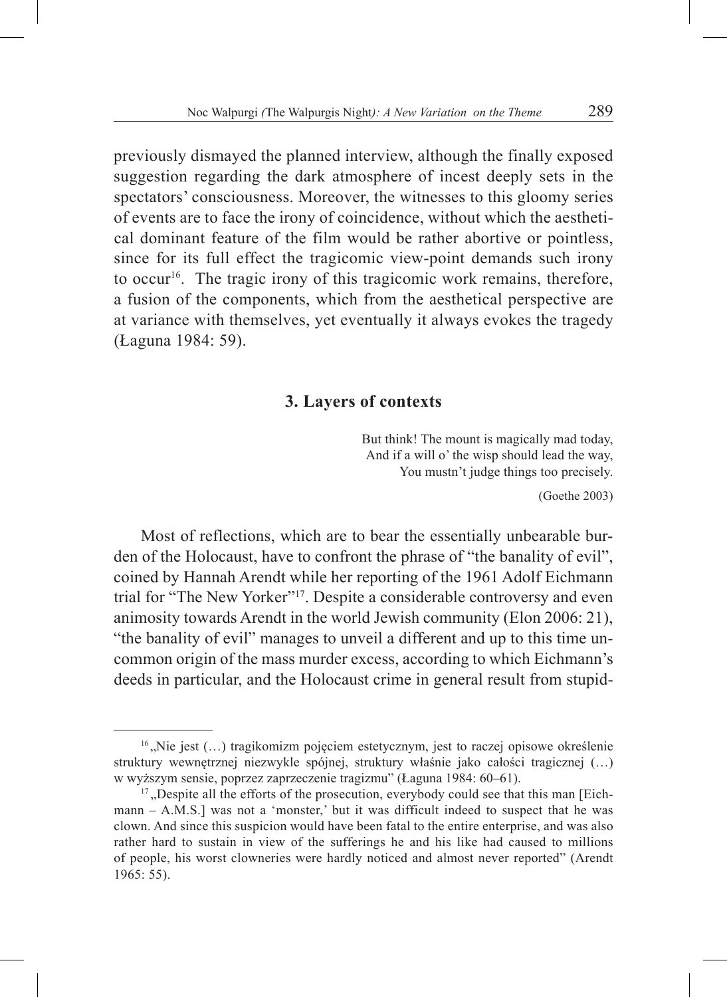previously dismayed the planned interview, although the finally exposed suggestion regarding the dark atmosphere of incest deeply sets in the spectators' consciousness. Moreover, the witnesses to this gloomy series of events are to face the irony of coincidence, without which the aesthetical dominant feature of the film would be rather abortive or pointless, since for its full effect the tragicomic view-point demands such irony to occur<sup>16</sup>. The tragic irony of this tragicomic work remains, therefore, a fusion of the components, which from the aesthetical perspective are at variance with themselves, yet eventually it always evokes the tragedy (Łaguna 1984: 59).

### **3. Layers of contexts**

But think! The mount is magically mad today, And if a will o' the wisp should lead the way, You mustn't judge things too precisely.

(Goethe 2003)

Most of reflections, which are to bear the essentially unbearable burden of the Holocaust, have to confront the phrase of "the banality of evil", coined by Hannah Arendt while her reporting of the 1961 Adolf Eichmann trial for "The New Yorker"<sup>17</sup>. Despite a considerable controversy and even animosity towards Arendt in the world Jewish community (Elon 2006: 21), "the banality of evil" manages to unveil a different and up to this time uncommon origin of the mass murder excess, according to which Eichmann's deeds in particular, and the Holocaust crime in general result from stupid-

 $16$ , Nie jest (...) tragikomizm pojęciem estetycznym, jest to raczej opisowe określenie struktury wewnętrznej niezwykle spójnej, struktury właśnie jako całości tragicznej (…) w wyższym sensie, poprzez zaprzeczenie tragizmu" (Łaguna 1984: 60–61).

 $17$ , Despite all the efforts of the prosecution, everybody could see that this man [Eichmann – A.M.S.] was not a 'monster,' but it was difficult indeed to suspect that he was clown. And since this suspicion would have been fatal to the entire enterprise, and was also rather hard to sustain in view of the sufferings he and his like had caused to millions of people, his worst clowneries were hardly noticed and almost never reported" (Arendt 1965: 55).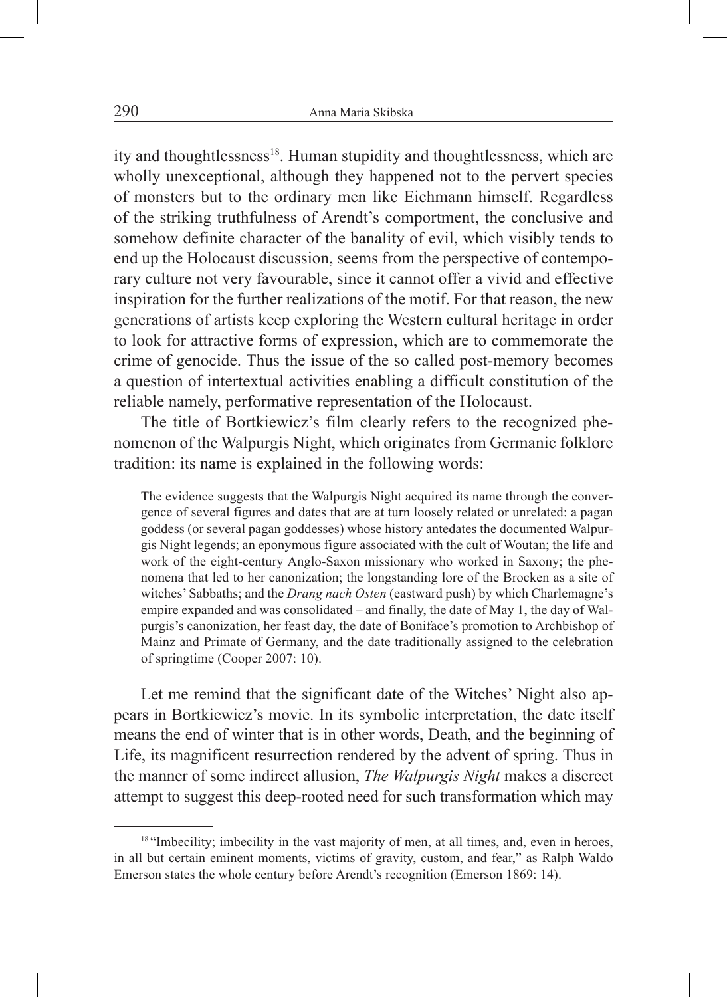ity and thoughtlessness<sup>18</sup>. Human stupidity and thoughtlessness, which are wholly unexceptional, although they happened not to the pervert species of monsters but to the ordinary men like Eichmann himself. Regardless of the striking truthfulness of Arendt's comportment, the conclusive and somehow definite character of the banality of evil, which visibly tends to end up the Holocaust discussion, seems from the perspective of contemporary culture not very favourable, since it cannot offer a vivid and effective inspiration for the further realizations of the motif. For that reason, the new generations of artists keep exploring the Western cultural heritage in order to look for attractive forms of expression, which are to commemorate the crime of genocide. Thus the issue of the so called post-memory becomes a question of intertextual activities enabling a difficult constitution of the reliable namely, performative representation of the Holocaust.

The title of Bortkiewicz's film clearly refers to the recognized phenomenon of the Walpurgis Night, which originates from Germanic folklore tradition: its name is explained in the following words:

The evidence suggests that the Walpurgis Night acquired its name through the convergence of several figures and dates that are at turn loosely related or unrelated: a pagan goddess (or several pagan goddesses) whose history antedates the documented Walpurgis Night legends; an eponymous figure associated with the cult of Woutan; the life and work of the eight-century Anglo-Saxon missionary who worked in Saxony; the phenomena that led to her canonization; the longstanding lore of the Brocken as a site of witches' Sabbaths; and the *Drang nach Osten* (eastward push) by which Charlemagne's empire expanded and was consolidated – and finally, the date of May 1, the day of Walpurgis's canonization, her feast day, the date of Boniface's promotion to Archbishop of Mainz and Primate of Germany, and the date traditionally assigned to the celebration of springtime (Cooper 2007: 10).

Let me remind that the significant date of the Witches' Night also appears in Bortkiewicz's movie. In its symbolic interpretation, the date itself means the end of winter that is in other words, Death, and the beginning of Life, its magnificent resurrection rendered by the advent of spring. Thus in the manner of some indirect allusion, *The Walpurgis Night* makes a discreet attempt to suggest this deep-rooted need for such transformation which may

<sup>&</sup>lt;sup>18</sup> "Imbecility; imbecility in the vast majority of men, at all times, and, even in heroes, in all but certain eminent moments, victims of gravity, custom, and fear," as Ralph Waldo Emerson states the whole century before Arendt's recognition (Emerson 1869: 14).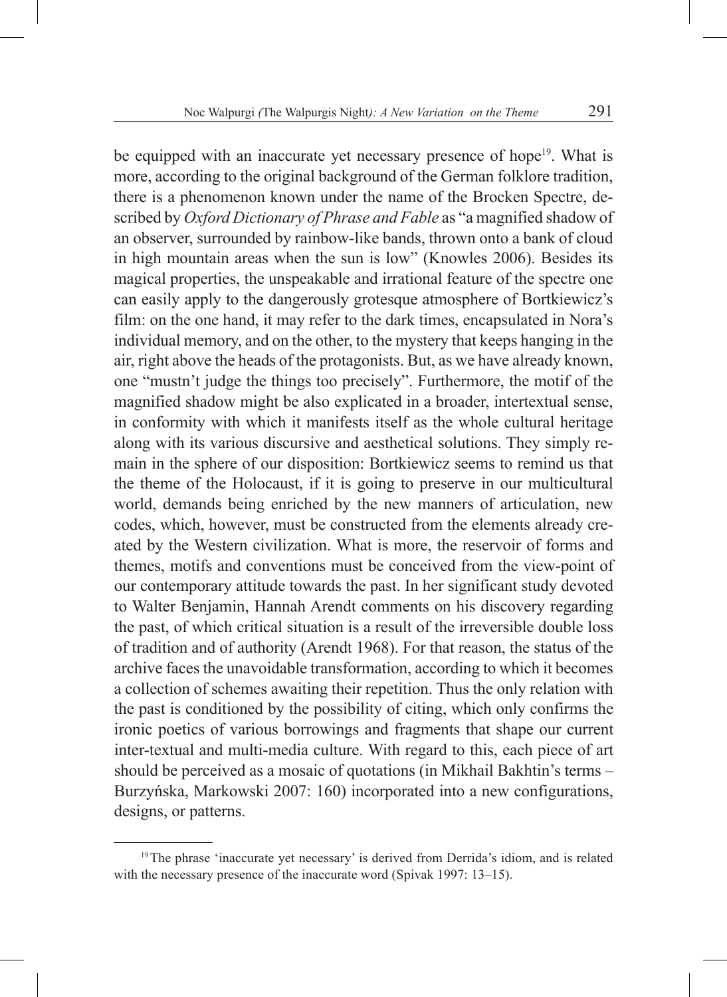be equipped with an inaccurate yet necessary presence of hope<sup>19</sup>. What is more, according to the original background of the German folklore tradition, there is a phenomenon known under the name of the Brocken Spectre, described by *Oxford Dictionary of Phrase and Fable* as "a magnified shadow of an observer, surrounded by rainbow-like bands, thrown onto a bank of cloud in high mountain areas when the sun is low" (Knowles 2006). Besides its magical properties, the unspeakable and irrational feature of the spectre one can easily apply to the dangerously grotesque atmosphere of Bortkiewicz's film: on the one hand, it may refer to the dark times, encapsulated in Nora's individual memory, and on the other, to the mystery that keeps hanging in the air, right above the heads of the protagonists. But, as we have already known, one "mustn't judge the things too precisely". Furthermore, the motif of the magnified shadow might be also explicated in a broader, intertextual sense, in conformity with which it manifests itself as the whole cultural heritage along with its various discursive and aesthetical solutions. They simply remain in the sphere of our disposition: Bortkiewicz seems to remind us that the theme of the Holocaust, if it is going to preserve in our multicultural world, demands being enriched by the new manners of articulation, new codes, which, however, must be constructed from the elements already created by the Western civilization. What is more, the reservoir of forms and themes, motifs and conventions must be conceived from the view-point of our contemporary attitude towards the past. In her significant study devoted to Walter Benjamin, Hannah Arendt comments on his discovery regarding the past, of which critical situation is a result of the irreversible double loss of tradition and of authority (Arendt 1968). For that reason, the status of the archive faces the unavoidable transformation, according to which it becomes a collection of schemes awaiting their repetition. Thus the only relation with the past is conditioned by the possibility of citing, which only confirms the ironic poetics of various borrowings and fragments that shape our current inter-textual and multi-media culture. With regard to this, each piece of art should be perceived as a mosaic of quotations (in Mikhail Bakhtin's terms – Burzyńska, Markowski 2007: 160) incorporated into a new configurations, designs, or patterns.

<sup>&</sup>lt;sup>19</sup>The phrase 'inaccurate yet necessary' is derived from Derrida's idiom, and is related with the necessary presence of the inaccurate word (Spivak 1997: 13–15).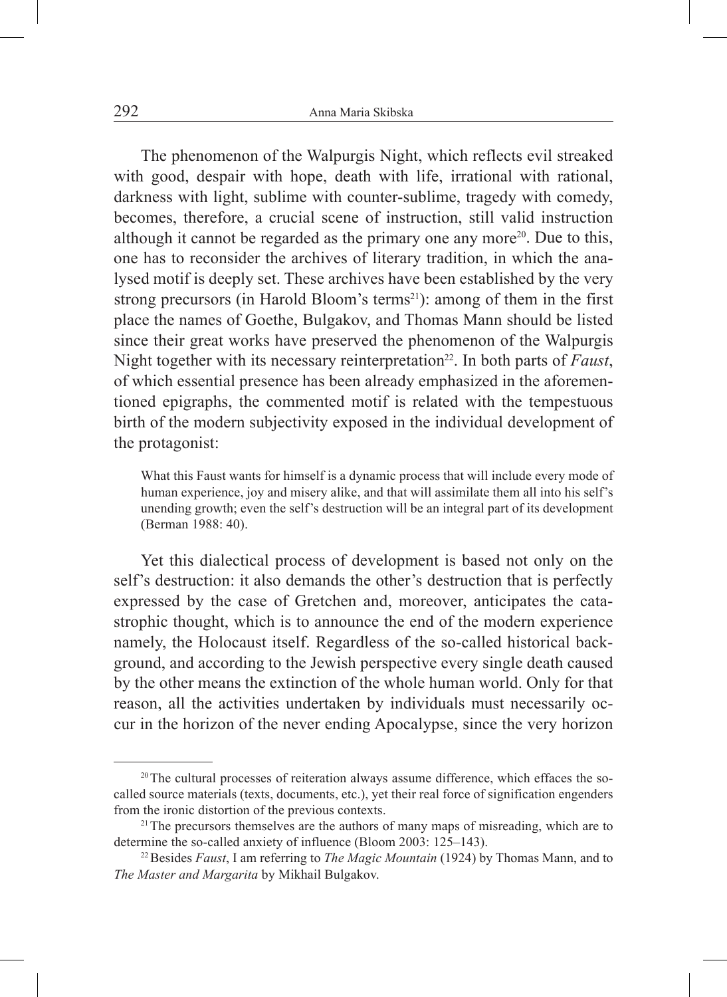The phenomenon of the Walpurgis Night, which reflects evil streaked with good, despair with hope, death with life, irrational with rational, darkness with light, sublime with counter-sublime, tragedy with comedy, becomes, therefore, a crucial scene of instruction, still valid instruction although it cannot be regarded as the primary one any more<sup>20</sup>. Due to this, one has to reconsider the archives of literary tradition, in which the analysed motif is deeply set. These archives have been established by the very strong precursors (in Harold Bloom's terms<sup>21</sup>): among of them in the first place the names of Goethe, Bulgakov, and Thomas Mann should be listed since their great works have preserved the phenomenon of the Walpurgis Night together with its necessary reinterpretation<sup>22</sup>. In both parts of *Faust*, of which essential presence has been already emphasized in the aforementioned epigraphs, the commented motif is related with the tempestuous birth of the modern subjectivity exposed in the individual development of the protagonist:

What this Faust wants for himself is a dynamic process that will include every mode of human experience, joy and misery alike, and that will assimilate them all into his self's unending growth; even the self's destruction will be an integral part of its development (Berman 1988: 40).

Yet this dialectical process of development is based not only on the self's destruction: it also demands the other's destruction that is perfectly expressed by the case of Gretchen and, moreover, anticipates the catastrophic thought, which is to announce the end of the modern experience namely, the Holocaust itself. Regardless of the so-called historical background, and according to the Jewish perspective every single death caused by the other means the extinction of the whole human world. Only for that reason, all the activities undertaken by individuals must necessarily occur in the horizon of the never ending Apocalypse, since the very horizon

 $20$ The cultural processes of reiteration always assume difference, which effaces the socalled source materials (texts, documents, etc.), yet their real force of signification engenders from the ironic distortion of the previous contexts.

 $2^{1}$ The precursors themselves are the authors of many maps of misreading, which are to determine the so-called anxiety of influence (Bloom 2003: 125–143).

<sup>22</sup>Besides *Faust*, I am referring to *The Magic Mountain* (1924) by Thomas Mann, and to *The Master and Margarita* by Mikhail Bulgakov.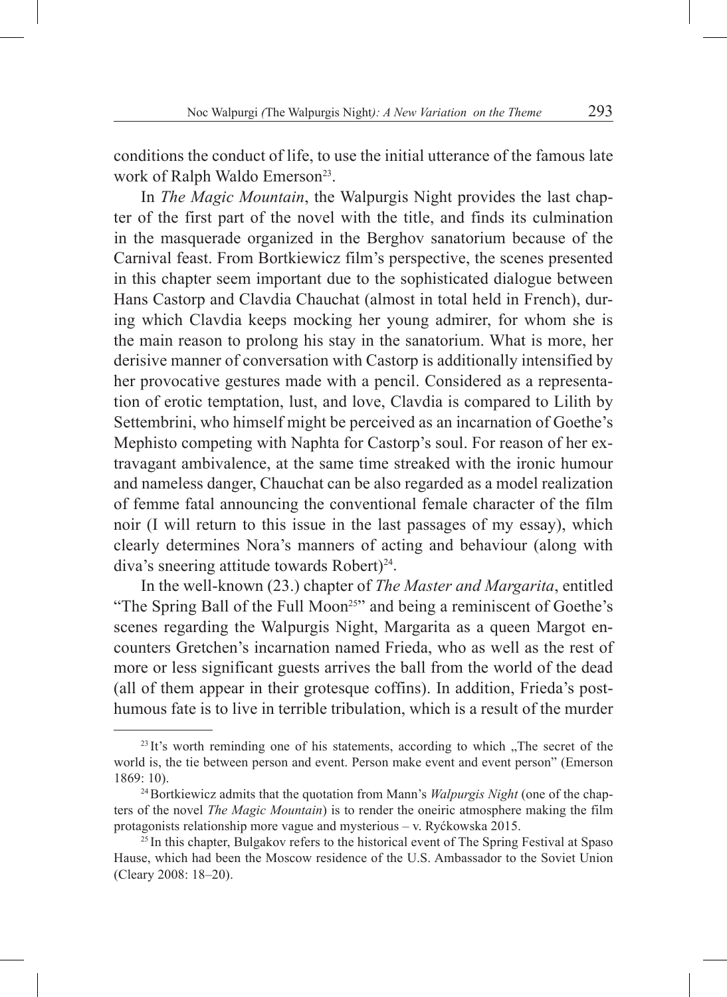conditions the conduct of life, to use the initial utterance of the famous late work of Ralph Waldo Emerson<sup>23</sup>.

In *The Magic Mountain*, the Walpurgis Night provides the last chapter of the first part of the novel with the title, and finds its culmination in the masquerade organized in the Berghov sanatorium because of the Carnival feast. From Bortkiewicz film's perspective, the scenes presented in this chapter seem important due to the sophisticated dialogue between Hans Castorp and Clavdia Chauchat (almost in total held in French), during which Clavdia keeps mocking her young admirer, for whom she is the main reason to prolong his stay in the sanatorium. What is more, her derisive manner of conversation with Castorp is additionally intensified by her provocative gestures made with a pencil. Considered as a representation of erotic temptation, lust, and love, Clavdia is compared to Lilith by Settembrini, who himself might be perceived as an incarnation of Goethe's Mephisto competing with Naphta for Castorp's soul. For reason of her extravagant ambivalence, at the same time streaked with the ironic humour and nameless danger, Chauchat can be also regarded as a model realization of femme fatal announcing the conventional female character of the film noir (I will return to this issue in the last passages of my essay), which clearly determines Nora's manners of acting and behaviour (along with diva's sneering attitude towards Robert)<sup>24</sup>.

In the well-known (23.) chapter of *The Master and Margarita*, entitled "The Spring Ball of the Full Moon<sup>25"</sup> and being a reminiscent of Goethe's scenes regarding the Walpurgis Night, Margarita as a queen Margot encounters Gretchen's incarnation named Frieda, who as well as the rest of more or less significant guests arrives the ball from the world of the dead (all of them appear in their grotesque coffins). In addition, Frieda's posthumous fate is to live in terrible tribulation, which is a result of the murder

 $^{23}$  It's worth reminding one of his statements, according to which  $\sqrt{ }$ . The secret of the world is, the tie between person and event. Person make event and event person" (Emerson 1869: 10).

<sup>&</sup>lt;sup>24</sup> Bortkiewicz admits that the quotation from Mann's *Walpurgis Night* (one of the chapters of the novel *The Magic Mountain*) is to render the oneiric atmosphere making the film protagonists relationship more vague and mysterious – v. Ryćkowska 2015.

<sup>&</sup>lt;sup>25</sup> In this chapter, Bulgakov refers to the historical event of The Spring Festival at Spaso Hause, which had been the Moscow residence of the U.S. Ambassador to the Soviet Union (Cleary 2008: 18–20).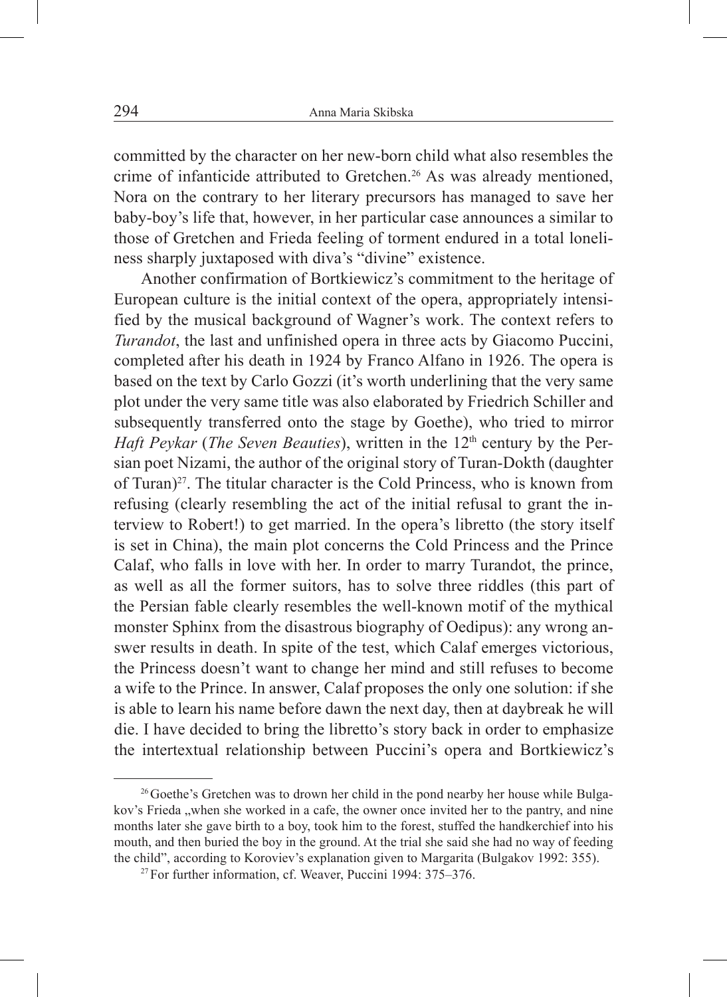committed by the character on her new-born child what also resembles the crime of infanticide attributed to Gretchen.<sup>26</sup> As was already mentioned, Nora on the contrary to her literary precursors has managed to save her baby-boy's life that, however, in her particular case announces a similar to those of Gretchen and Frieda feeling of torment endured in a total loneliness sharply juxtaposed with diva's "divine" existence.

Another confirmation of Bortkiewicz's commitment to the heritage of European culture is the initial context of the opera, appropriately intensified by the musical background of Wagner's work. The context refers to *Turandot*, the last and unfinished opera in three acts by Giacomo Puccini, completed after his death in 1924 by Franco Alfano in 1926. The opera is based on the text by Carlo Gozzi (it's worth underlining that the very same plot under the very same title was also elaborated by Friedrich Schiller and subsequently transferred onto the stage by Goethe), who tried to mirror *Haft Peykar (The Seven Beauties)*, written in the 12<sup>th</sup> century by the Persian poet Nizami, the author of the original story of Turan-Dokth (daughter of Turan)<sup>27</sup>. The titular character is the Cold Princess, who is known from refusing (clearly resembling the act of the initial refusal to grant the interview to Robert!) to get married. In the opera's libretto (the story itself is set in China), the main plot concerns the Cold Princess and the Prince Calaf, who falls in love with her. In order to marry Turandot, the prince, as well as all the former suitors, has to solve three riddles (this part of the Persian fable clearly resembles the well-known motif of the mythical monster Sphinx from the disastrous biography of Oedipus): any wrong answer results in death. In spite of the test, which Calaf emerges victorious, the Princess doesn't want to change her mind and still refuses to become a wife to the Prince. In answer, Calaf proposes the only one solution: if she is able to learn his name before dawn the next day, then at daybreak he will die. I have decided to bring the libretto's story back in order to emphasize the intertextual relationship between Puccini's opera and Bortkiewicz's

<sup>&</sup>lt;sup>26</sup> Goethe's Gretchen was to drown her child in the pond nearby her house while Bulgakov's Frieda "when she worked in a cafe, the owner once invited her to the pantry, and nine months later she gave birth to a boy, took him to the forest, stuffed the handkerchief into his mouth, and then buried the boy in the ground. At the trial she said she had no way of feeding the child", according to Koroviev's explanation given to Margarita (Bulgakov 1992: 355).

<sup>&</sup>lt;sup>27</sup> For further information, cf. Weaver, Puccini 1994: 375–376.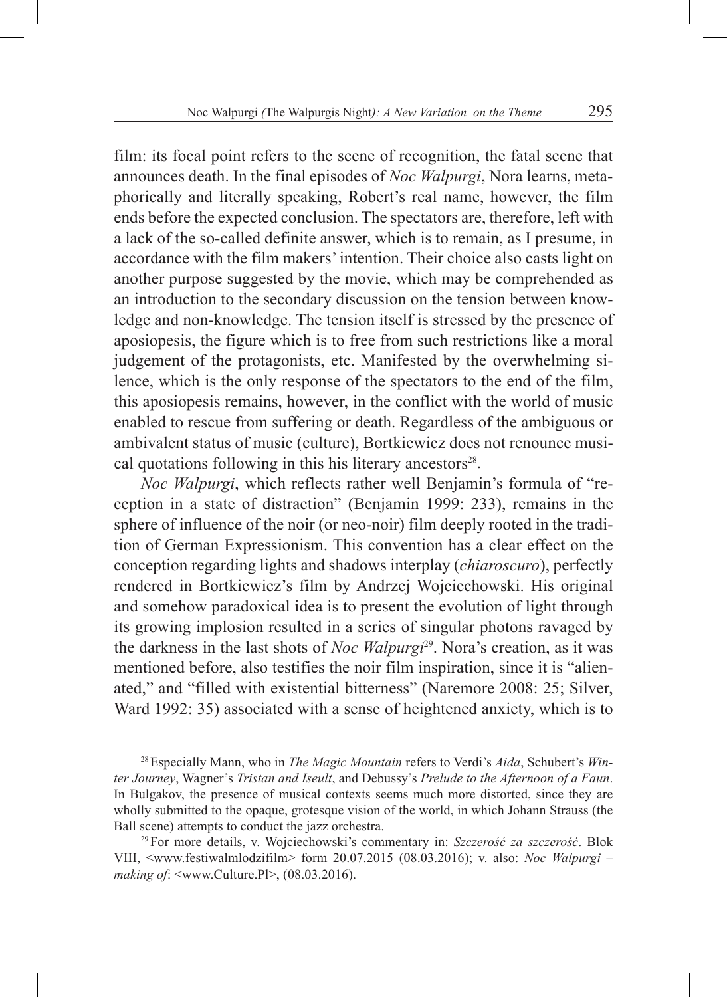film: its focal point refers to the scene of recognition, the fatal scene that announces death. In the final episodes of *Noc Walpurgi*, Nora learns, metaphorically and literally speaking, Robert's real name, however, the film ends before the expected conclusion. The spectators are, therefore, left with a lack of the so-called definite answer, which is to remain, as I presume, in accordance with the film makers'intention. Their choice also casts light on another purpose suggested by the movie, which may be comprehended as an introduction to the secondary discussion on the tension between knowledge and non-knowledge. The tension itself is stressed by the presence of aposiopesis, the figure which is to free from such restrictions like a moral judgement of the protagonists, etc. Manifested by the overwhelming silence, which is the only response of the spectators to the end of the film, this aposiopesis remains, however, in the conflict with the world of music enabled to rescue from suffering or death. Regardless of the ambiguous or ambivalent status of music (culture), Bortkiewicz does not renounce musical quotations following in this his literary ancestors<sup>28</sup>.

*Noc Walpurgi*, which reflects rather well Benjamin's formula of "reception in a state of distraction" (Benjamin 1999: 233), remains in the sphere of influence of the noir (or neo-noir) film deeply rooted in the tradition of German Expressionism. This convention has a clear effect on the conception regarding lights and shadows interplay (*chiaroscuro*), perfectly rendered in Bortkiewicz's film by Andrzej Wojciechowski. His original and somehow paradoxical idea is to present the evolution of light through its growing implosion resulted in a series of singular photons ravaged by the darkness in the last shots of *Noc Walpurgi*29. Nora's creation, as it was mentioned before, also testifies the noir film inspiration, since it is "alienated," and "filled with existential bitterness" (Naremore 2008: 25; Silver, Ward 1992: 35) associated with a sense of heightened anxiety, which is to

<sup>28</sup>Especially Mann, who in *The Magic Mountain* refers to Verdi's *Aida*, Schubert's *Winter Journey*, Wagner's *Tristan and Iseult*, and Debussy's *Prelude to the Afternoon of a Faun*. In Bulgakov, the presence of musical contexts seems much more distorted, since they are wholly submitted to the opaque, grotesque vision of the world, in which Johann Strauss (the Ball scene) attempts to conduct the jazz orchestra. 29For more details, v. Wojciechowski's commentary in: *Szczerość za szczerość*. Blok

VIII, <www.festiwalmlodzifilm> form 20.07.2015 (08.03.2016); v. also: *Noc Walpurgi – making of*: <www.Culture.Pl>, (08.03.2016).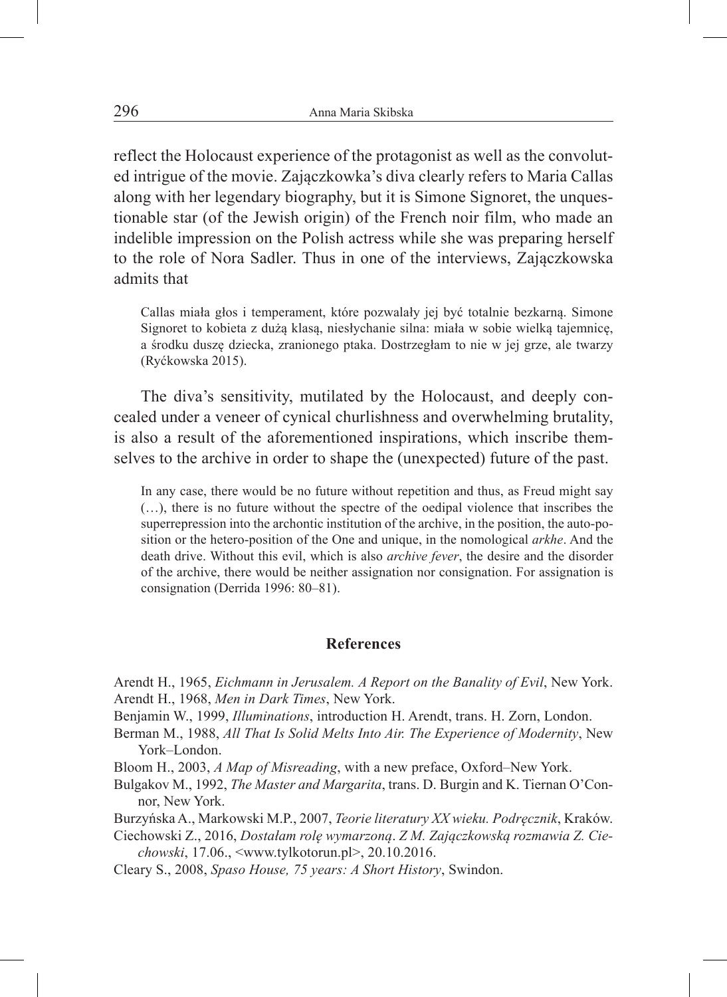reflect the Holocaust experience of the protagonist as well as the convoluted intrigue of the movie. Zajączkowka's diva clearly refers to Maria Callas along with her legendary biography, but it is Simone Signoret, the unquestionable star (of the Jewish origin) of the French noir film, who made an indelible impression on the Polish actress while she was preparing herself to the role of Nora Sadler. Thus in one of the interviews, Zajączkowska admits that

Callas miała głos i temperament, które pozwalały jej być totalnie bezkarną. Simone Signoret to kobieta z dużą klasą, niesłychanie silna: miała w sobie wielką tajemnicę, a środku duszę dziecka, zranionego ptaka. Dostrzegłam to nie w jej grze, ale twarzy (Ryćkowska 2015).

The diva's sensitivity, mutilated by the Holocaust, and deeply concealed under a veneer of cynical churlishness and overwhelming brutality, is also a result of the aforementioned inspirations, which inscribe themselves to the archive in order to shape the (unexpected) future of the past.

In any case, there would be no future without repetition and thus, as Freud might say (…), there is no future without the spectre of the oedipal violence that inscribes the superrepression into the archontic institution of the archive, in the position, the auto-position or the hetero-position of the One and unique, in the nomological *arkhe*. And the death drive. Without this evil, which is also *archive fever*, the desire and the disorder of the archive, there would be neither assignation nor consignation. For assignation is consignation (Derrida 1996: 80–81).

#### **References**

Arendt H., 1965, *Eichmann in Jerusalem. A Report on the Banality of Evil*, New York. Arendt H., 1968, *Men in Dark Times*, New York.

Benjamin W., 1999, *Illuminations*, introduction H. Arendt, trans. H. Zorn, London.

Berman M., 1988, *All That Is Solid Melts Into Air. The Experience of Modernity*, New York–London.

Bloom H., 2003, *A Map of Misreading*, with a new preface, Oxford–New York.

Bulgakov M., 1992, *The Master and Margarita*, trans. D. Burgin and K. Tiernan O'Connor, New York.

Burzyńska A., Markowski M.P., 2007, *Teorie literatury XX wieku. Podręcznik*, Kraków.

Ciechowski Z., 2016, *Dostałam rolę wymarzoną*. *Z M. Zajączkowską rozmawia Z. Ciechowski*, 17.06., <www.tylkotorun.pl>, 20.10.2016.

Cleary S., 2008, *Spaso House, 75 years: A Short History*, Swindon.